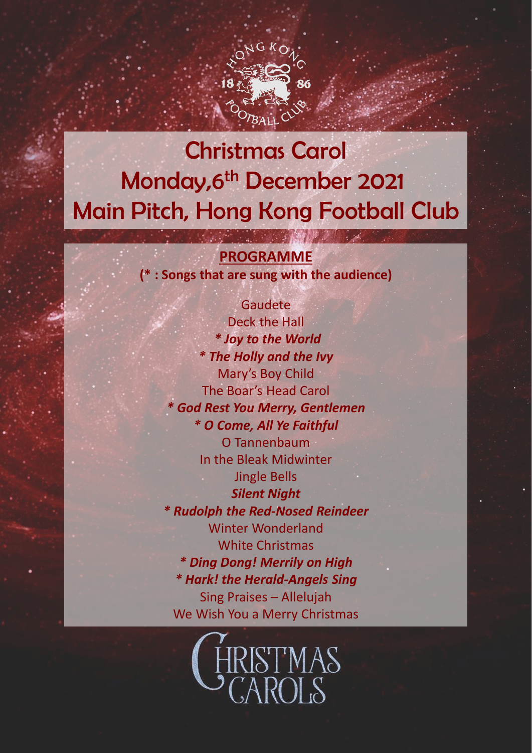

## Christmas Carol Monday, 6<sup>th</sup> December 2021 Main Pitch, Hong Kong Football Club

#### **PROGRAMME**

**(\* : Songs that are sung with the audience)**

Gaudete Deck the Hall *\* Joy to the World \* The Holly and the Ivy* Mary's Boy Child The Boar's Head Carol *\* God Rest You Merry, Gentlemen \* O Come, All Ye Faithful* O Tannenbaum In the Bleak Midwinter Jingle Bells *Silent Night \* Rudolph the Red-Nosed Reindeer* Winter Wonderland White Christmas *\* Ding Dong! Merrily on High \* Hark! the Herald-Angels Sing* Sing Praises – Allelujah We Wish You a Merry Christmas

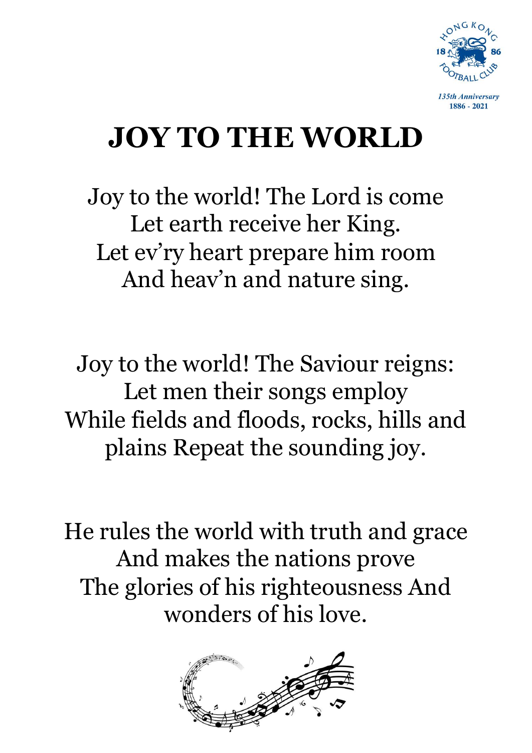

# **JOY TO THE WORLD**

Joy to the world! The Lord is come Let earth receive her King. Let ev'ry heart prepare him room And heav'n and nature sing.

Joy to the world! The Saviour reigns: Let men their songs employ While fields and floods, rocks, hills and plains Repeat the sounding joy.

He rules the world with truth and grace And makes the nations prove The glories of his righteousness And wonders of his love.

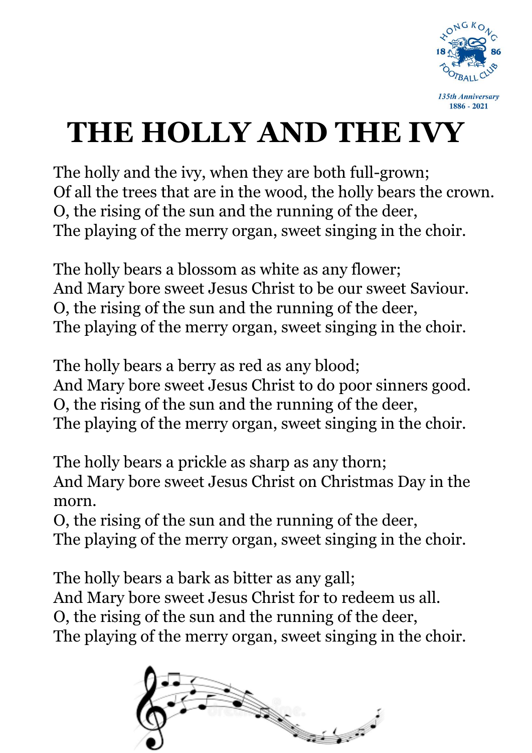

# **THE HOLLY AND THE IVY**

The holly and the ivy, when they are both full-grown; Of all the trees that are in the wood, the holly bears the crown. O, the rising of the sun and the running of the deer, The playing of the merry organ, sweet singing in the choir.

The holly bears a blossom as white as any flower; And Mary bore sweet Jesus Christ to be our sweet Saviour. O, the rising of the sun and the running of the deer, The playing of the merry organ, sweet singing in the choir.

The holly bears a berry as red as any blood; And Mary bore sweet Jesus Christ to do poor sinners good. O, the rising of the sun and the running of the deer, The playing of the merry organ, sweet singing in the choir.

The holly bears a prickle as sharp as any thorn; And Mary bore sweet Jesus Christ on Christmas Day in the morn.

O, the rising of the sun and the running of the deer,

The playing of the merry organ, sweet singing in the choir.

The holly bears a bark as bitter as any gall; And Mary bore sweet Jesus Christ for to redeem us all. O, the rising of the sun and the running of the deer, The playing of the merry organ, sweet singing in the choir.

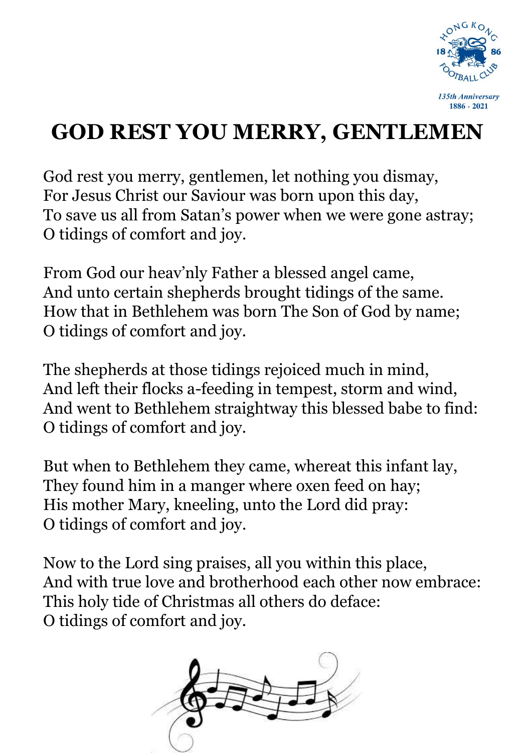

#### **GOD REST YOU MERRY, GENTLEMEN**

God rest you merry, gentlemen, let nothing you dismay, For Jesus Christ our Saviour was born upon this day, To save us all from Satan's power when we were gone astray; O tidings of comfort and joy.

From God our heav'nly Father a blessed angel came, And unto certain shepherds brought tidings of the same. How that in Bethlehem was born The Son of God by name; O tidings of comfort and joy.

The shepherds at those tidings rejoiced much in mind, And left their flocks a-feeding in tempest, storm and wind, And went to Bethlehem straightway this blessed babe to find: O tidings of comfort and joy.

But when to Bethlehem they came, whereat this infant lay, They found him in a manger where oxen feed on hay; His mother Mary, kneeling, unto the Lord did pray: O tidings of comfort and joy.

Now to the Lord sing praises, all you within this place, And with true love and brotherhood each other now embrace: This holy tide of Christmas all others do deface: O tidings of comfort and joy.

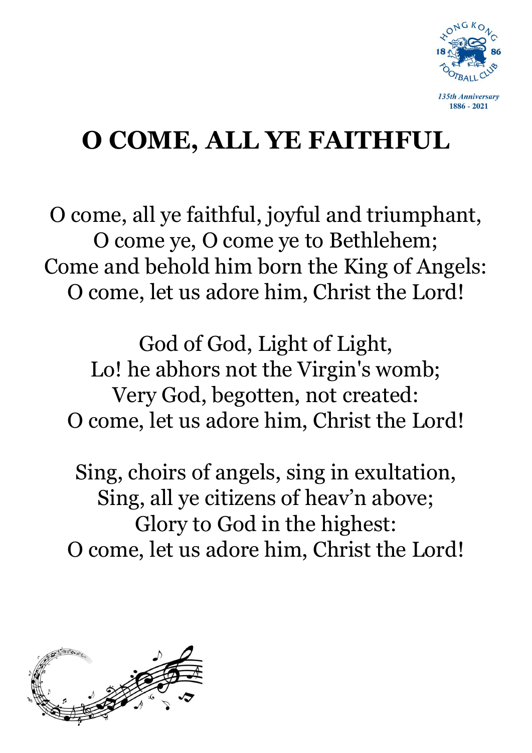

## **O COME, ALL YE FAITHFUL**

O come, all ye faithful, joyful and triumphant, O come ye, O come ye to Bethlehem; Come and behold him born the King of Angels: O come, let us adore him, Christ the Lord!

God of God, Light of Light, Lo! he abhors not the Virgin's womb; Very God, begotten, not created: O come, let us adore him, Christ the Lord!

Sing, choirs of angels, sing in exultation, Sing, all ye citizens of heav'n above; Glory to God in the highest: O come, let us adore him, Christ the Lord!

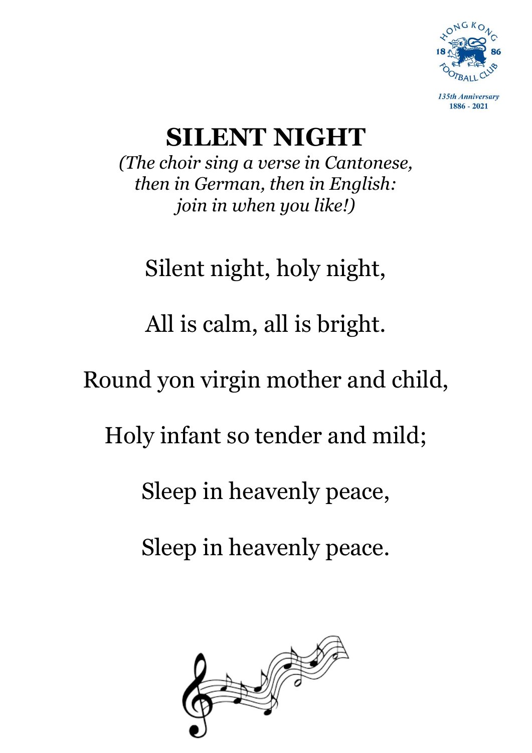

**135th Anniversary** 1886 - 2021

#### **SILENT NIGHT**

*(The choir sing a verse in Cantonese, then in German, then in English: join in when you like!)*

Silent night, holy night,

All is calm, all is bright.

Round yon virgin mother and child,

Holy infant so tender and mild;

Sleep in heavenly peace,

Sleep in heavenly peace.

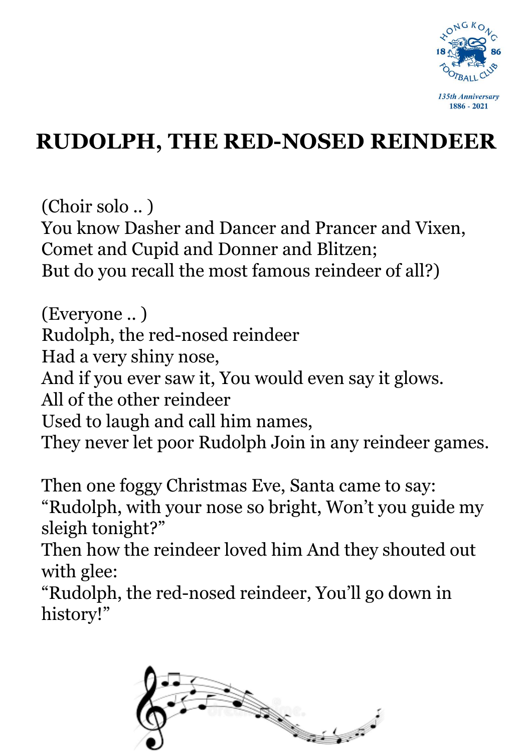

#### **RUDOLPH, THE RED-NOSED REINDEER**

(Choir solo .. ) You know Dasher and Dancer and Prancer and Vixen, Comet and Cupid and Donner and Blitzen; But do you recall the most famous reindeer of all?)

(Everyone .. ) Rudolph, the red-nosed reindeer Had a very shiny nose, And if you ever saw it, You would even say it glows. All of the other reindeer Used to laugh and call him names, They never let poor Rudolph Join in any reindeer games.

Then one foggy Christmas Eve, Santa came to say: "Rudolph, with your nose so bright, Won't you guide my sleigh tonight?"

Then how the reindeer loved him And they shouted out with glee:

"Rudolph, the red-nosed reindeer, You'll go down in history!"

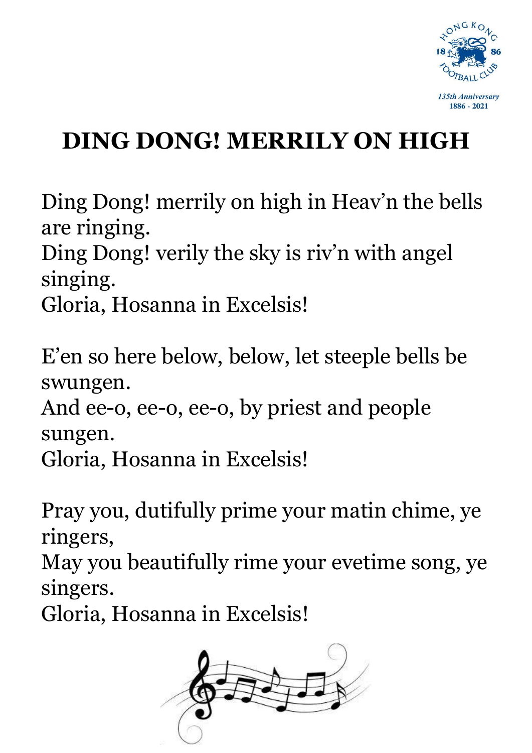

#### **DING DONG! MERRILY ON HIGH**

Ding Dong! merrily on high in Heav'n the bells are ringing.

Ding Dong! verily the sky is riv'n with angel singing.

Gloria, Hosanna in Excelsis!

E'en so here below, below, let steeple bells be swungen.

And ee-o, ee-o, ee-o, by priest and people sungen.

Gloria, Hosanna in Excelsis!

Pray you, dutifully prime your matin chime, ye ringers,

May you beautifully rime your evetime song, ye singers.

Gloria, Hosanna in Excelsis!